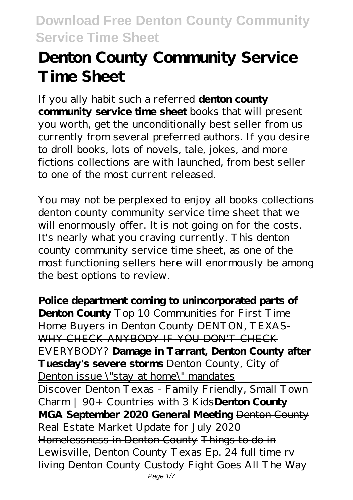# **Denton County Community Service Time Sheet**

If you ally habit such a referred **denton county community service time sheet** books that will present you worth, get the unconditionally best seller from us currently from several preferred authors. If you desire to droll books, lots of novels, tale, jokes, and more fictions collections are with launched, from best seller to one of the most current released.

You may not be perplexed to enjoy all books collections denton county community service time sheet that we will enormously offer. It is not going on for the costs. It's nearly what you craving currently. This denton county community service time sheet, as one of the most functioning sellers here will enormously be among the best options to review.

**Police department coming to unincorporated parts of Denton County** Top 10 Communities for First Time Home Buyers in Denton County DENTON, TEXAS-WHY CHECK ANYBODY IF YOU DON'T CHECK EVERYBODY? **Damage in Tarrant, Denton County after Tuesday's severe storms** Denton County, City of Denton issue \"stay at home\" mandates Discover Denton Texas - Family Friendly, Small Town Charm | 90+ Countries with 3 Kids**Denton County MGA September 2020 General Meeting** Denton County Real Estate Market Update for July 2020 Homelessness in Denton County Things to do in Lewisville, Denton County Texas Ep. 24 full time rv living *Denton County Custody Fight Goes All The Way* Page  $1/7$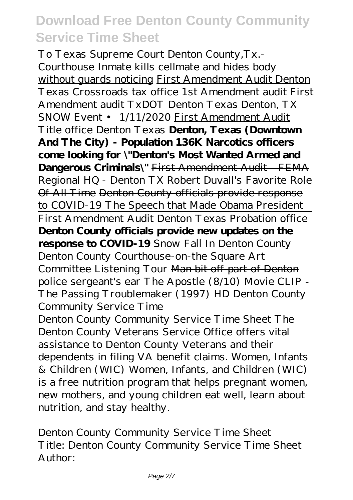*To Texas Supreme Court* Denton County,Tx.- Courthouse Inmate kills cellmate and hides body without guards noticing First Amendment Audit Denton Texas Crossroads tax office 1st Amendment audit *First Amendment audit TxDOT Denton Texas* Denton, TX SNOW Event • 1/11/2020 First Amendment Audit Title office Denton Texas **Denton, Texas (Downtown And The City) - Population 136K Narcotics officers come looking for \"Denton's Most Wanted Armed and Dangerous Criminals\"** First Amendment Audit - FEMA Regional HQ - Denton TX Robert Duvall's Favorite Role Of All Time Denton County officials provide response to COVID-19 The Speech that Made Obama President First Amendment Audit Denton Texas Probation office **Denton County officials provide new updates on the response to COVID-19** Snow Fall In Denton County Denton County Courthouse-on-the Square Art Committee Listening Tour Man bit off part of Denton police sergeant's ear The Apostle (8/10) Movie CLIP - The Passing Troublemaker (1997) HD Denton County Community Service Time

Denton County Community Service Time Sheet The Denton County Veterans Service Office offers vital assistance to Denton County Veterans and their dependents in filing VA benefit claims. Women, Infants & Children (WIC) Women, Infants, and Children (WIC) is a free nutrition program that helps pregnant women, new mothers, and young children eat well, learn about nutrition, and stay healthy.

Denton County Community Service Time Sheet Title: Denton County Community Service Time Sheet Author: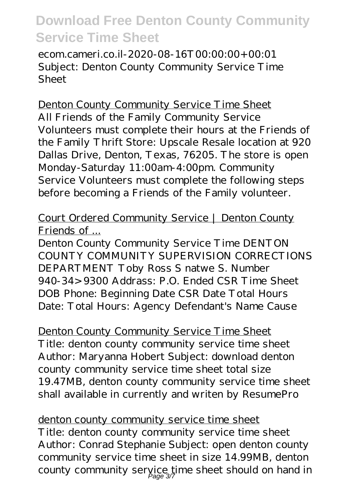ecom.cameri.co.il-2020-08-16T00:00:00+00:01 Subject: Denton County Community Service Time Sheet

Denton County Community Service Time Sheet All Friends of the Family Community Service Volunteers must complete their hours at the Friends of the Family Thrift Store: Upscale Resale location at 920 Dallas Drive, Denton, Texas, 76205. The store is open Monday-Saturday 11:00am-4:00pm. Community Service Volunteers must complete the following steps before becoming a Friends of the Family volunteer.

### Court Ordered Community Service | Denton County Friends of ...

Denton County Community Service Time DENTON COUNTY COMMUNITY SUPERVISION CORRECTIONS DEPARTMENT Toby Ross S natwe S. Number 940-34>9300 Addrass: P.O. Ended CSR Time Sheet DOB Phone: Beginning Date CSR Date Total Hours Date: Total Hours: Agency Defendant's Name Cause

Denton County Community Service Time Sheet Title: denton county community service time sheet Author: Maryanna Hobert Subject: download denton county community service time sheet total size 19.47MB, denton county community service time sheet shall available in currently and writen by ResumePro

denton county community service time sheet Title: denton county community service time sheet Author: Conrad Stephanie Subject: open denton county community service time sheet in size 14.99MB, denton county community service time sheet should on hand in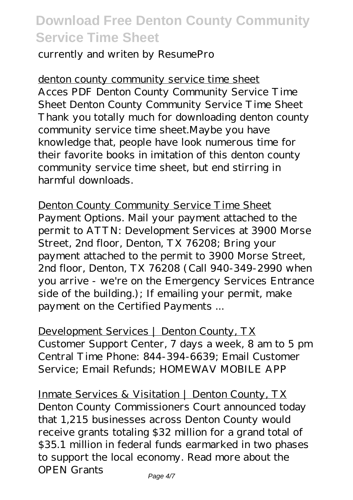currently and writen by ResumePro

denton county community service time sheet Acces PDF Denton County Community Service Time Sheet Denton County Community Service Time Sheet Thank you totally much for downloading denton county community service time sheet.Maybe you have knowledge that, people have look numerous time for their favorite books in imitation of this denton county community service time sheet, but end stirring in harmful downloads.

Denton County Community Service Time Sheet Payment Options. Mail your payment attached to the permit to ATTN: Development Services at 3900 Morse Street, 2nd floor, Denton, TX 76208; Bring your payment attached to the permit to 3900 Morse Street, 2nd floor, Denton, TX 76208 (Call 940-349-2990 when you arrive - we're on the Emergency Services Entrance side of the building.); If emailing your permit, make payment on the Certified Payments ...

Development Services | Denton County, TX Customer Support Center, 7 days a week, 8 am to 5 pm Central Time Phone: 844-394-6639; Email Customer Service; Email Refunds; HOMEWAV MOBILE APP

Inmate Services & Visitation | Denton County, TX Denton County Commissioners Court announced today that 1,215 businesses across Denton County would receive grants totaling \$32 million for a grand total of \$35.1 million in federal funds earmarked in two phases to support the local economy. Read more about the OPEN Grants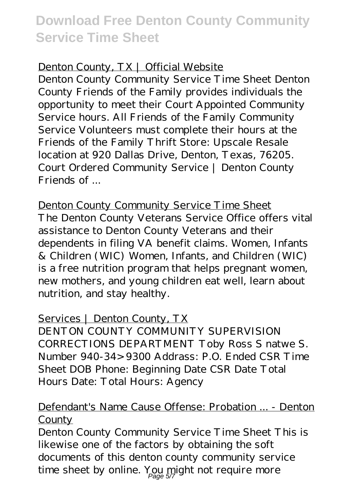#### Denton County, TX | Official Website

Denton County Community Service Time Sheet Denton County Friends of the Family provides individuals the opportunity to meet their Court Appointed Community Service hours. All Friends of the Family Community Service Volunteers must complete their hours at the Friends of the Family Thrift Store: Upscale Resale location at 920 Dallas Drive, Denton, Texas, 76205. Court Ordered Community Service | Denton County Friends of ...

Denton County Community Service Time Sheet The Denton County Veterans Service Office offers vital assistance to Denton County Veterans and their dependents in filing VA benefit claims. Women, Infants & Children (WIC) Women, Infants, and Children (WIC) is a free nutrition program that helps pregnant women, new mothers, and young children eat well, learn about nutrition, and stay healthy.

#### Services | Denton County, TX

DENTON COUNTY COMMUNITY SUPERVISION CORRECTIONS DEPARTMENT Toby Ross S natwe S. Number 940-34>9300 Addrass: P.O. Ended CSR Time Sheet DOB Phone: Beginning Date CSR Date Total Hours Date: Total Hours: Agency

#### Defendant's Name Cause Offense: Probation ... - Denton County

Denton County Community Service Time Sheet This is likewise one of the factors by obtaining the soft documents of this denton county community service time sheet by online. You might not require more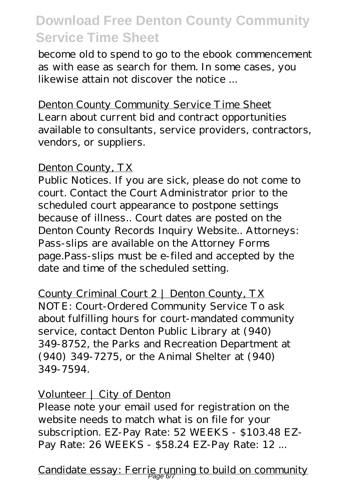become old to spend to go to the ebook commencement as with ease as search for them. In some cases, you likewise attain not discover the notice ...

Denton County Community Service Time Sheet Learn about current bid and contract opportunities available to consultants, service providers, contractors, vendors, or suppliers.

#### Denton County, TX

Public Notices. If you are sick, please do not come to court. Contact the Court Administrator prior to the scheduled court appearance to postpone settings because of illness.. Court dates are posted on the Denton County Records Inquiry Website.. Attorneys: Pass-slips are available on the Attorney Forms page.Pass-slips must be e-filed and accepted by the date and time of the scheduled setting.

County Criminal Court 2 | Denton County, TX NOTE: Court-Ordered Community Service To ask about fulfilling hours for court-mandated community service, contact Denton Public Library at (940) 349-8752, the Parks and Recreation Department at (940) 349-7275, or the Animal Shelter at (940) 349-7594.

#### Volunteer | City of Denton

Please note your email used for registration on the website needs to match what is on file for your subscription. EZ-Pay Rate: 52 WEEKS - \$103.48 EZ-Pay Rate: 26 WEEKS - \$58.24 EZ-Pay Rate: 12 ...

Candidate essay: Ferrie running to build on community